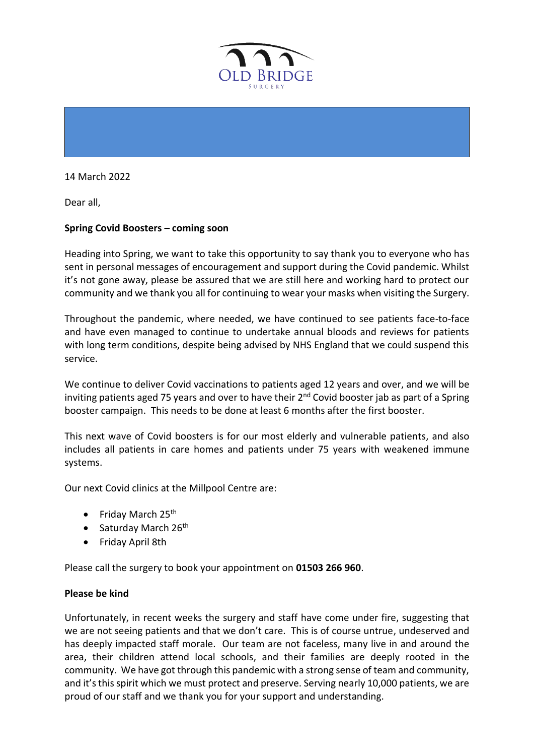

14 March 2022

Dear all,

## **Spring Covid Boosters – coming soon**

Heading into Spring, we want to take this opportunity to say thank you to everyone who has sent in personal messages of encouragement and support during the Covid pandemic. Whilst it's not gone away, please be assured that we are still here and working hard to protect our community and we thank you all for continuing to wear your masks when visiting the Surgery.

Throughout the pandemic, where needed, we have continued to see patients face-to-face and have even managed to continue to undertake annual bloods and reviews for patients with long term conditions, despite being advised by NHS England that we could suspend this service.

We continue to deliver Covid vaccinations to patients aged 12 years and over, and we will be inviting patients aged 75 years and over to have their 2<sup>nd</sup> Covid booster jab as part of a Spring booster campaign. This needs to be done at least 6 months after the first booster.

This next wave of Covid boosters is for our most elderly and vulnerable patients, and also includes all patients in care homes and patients under 75 years with weakened immune systems.

Our next Covid clinics at the Millpool Centre are:

- Friday March 25<sup>th</sup>
- Saturday March  $26<sup>th</sup>$
- Friday April 8th

Please call the surgery to book your appointment on **01503 266 960**.

## **Please be kind**

Unfortunately, in recent weeks the surgery and staff have come under fire, suggesting that we are not seeing patients and that we don't care. This is of course untrue, undeserved and has deeply impacted staff morale. Our team are not faceless, many live in and around the area, their children attend local schools, and their families are deeply rooted in the community. We have got through this pandemic with a strong sense of team and community, and it's this spirit which we must protect and preserve. Serving nearly 10,000 patients, we are proud of our staff and we thank you for your support and understanding.